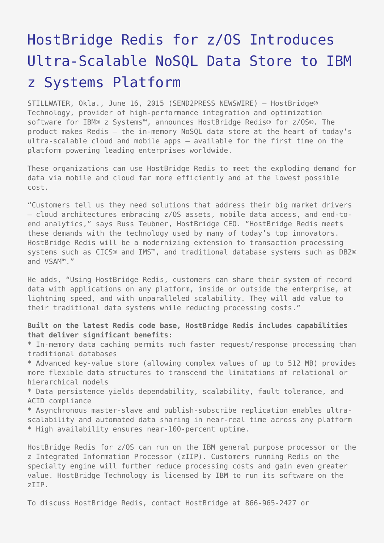## [HostBridge Redis for z/OS Introduces](https://www.send2press.com/wire/hostbridge-redis-for-z-os-introduces-ultra-scalable-nosql-data-store-to-ibm-z-systems-platform-2015-0616-05/) [Ultra-Scalable NoSQL Data Store to IBM](https://www.send2press.com/wire/hostbridge-redis-for-z-os-introduces-ultra-scalable-nosql-data-store-to-ibm-z-systems-platform-2015-0616-05/) [z Systems Platform](https://www.send2press.com/wire/hostbridge-redis-for-z-os-introduces-ultra-scalable-nosql-data-store-to-ibm-z-systems-platform-2015-0616-05/)

STILLWATER, Okla., June 16, 2015 (SEND2PRESS NEWSWIRE) — HostBridge® Technology, provider of high-performance integration and optimization software for IBM® z Systems™, announces HostBridge Redis® for z/OS®. The product makes Redis – the in-memory NoSQL data store at the heart of today's ultra-scalable cloud and mobile apps – available for the first time on the platform powering leading enterprises worldwide.

These organizations can use HostBridge Redis to meet the exploding demand for data via mobile and cloud far more efficiently and at the lowest possible cost.

"Customers tell us they need solutions that address their big market drivers – cloud architectures embracing z/OS assets, mobile data access, and end-toend analytics," says Russ Teubner, HostBridge CEO. "HostBridge Redis meets these demands with the technology used by many of today's top innovators. HostBridge Redis will be a modernizing extension to transaction processing systems such as CICS® and IMS™, and traditional database systems such as DB2® and VSAM™."

He adds, "Using HostBridge Redis, customers can share their system of record data with applications on any platform, inside or outside the enterprise, at lightning speed, and with unparalleled scalability. They will add value to their traditional data systems while reducing processing costs."

**Built on the latest Redis code base, HostBridge Redis includes capabilities that deliver significant benefits:**

\* In-memory data caching permits much faster request/response processing than traditional databases

\* Advanced key-value store (allowing complex values of up to 512 MB) provides more flexible data structures to transcend the limitations of relational or hierarchical models

\* Data persistence yields dependability, scalability, fault tolerance, and ACID compliance

\* Asynchronous master-slave and publish-subscribe replication enables ultrascalability and automated data sharing in near-real time across any platform \* High availability ensures near-100-percent uptime.

HostBridge Redis for z/OS can run on the IBM general purpose processor or the z Integrated Information Processor (zIIP). Customers running Redis on the specialty engine will further reduce processing costs and gain even greater value. HostBridge Technology is licensed by IBM to run its software on the zIIP.

To discuss HostBridge Redis, contact HostBridge at 866-965-2427 or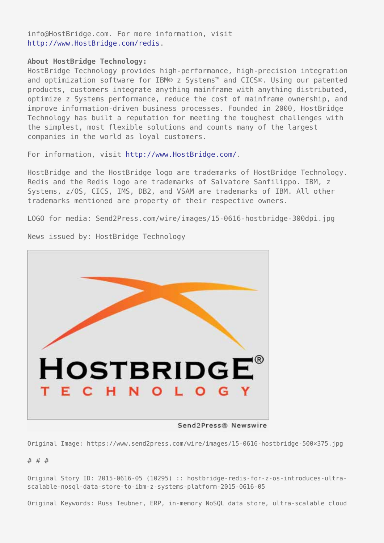info@HostBridge.com. For more information, visit [http://www.HostBridge.com/redis.](http://www.HostBridge.com/redis)

## **About HostBridge Technology:**

HostBridge Technology provides high-performance, high-precision integration and optimization software for IBM® z Systems™ and CICS®. Using our patented products, customers integrate anything mainframe with anything distributed, optimize z Systems performance, reduce the cost of mainframe ownership, and improve information-driven business processes. Founded in 2000, HostBridge Technology has built a reputation for meeting the toughest challenges with the simplest, most flexible solutions and counts many of the largest companies in the world as loyal customers.

For information, visit [http://www.HostBridge.com/.](http://www.HostBridge.com/)

HostBridge and the HostBridge logo are trademarks of HostBridge Technology. Redis and the Redis logo are trademarks of Salvatore Sanfilippo. IBM, z Systems, z/OS, CICS, IMS, DB2, and VSAM are trademarks of IBM. All other trademarks mentioned are property of their respective owners.

LOGO for media: Send2Press.com/wire/images/15-0616-hostbridge-300dpi.jpg



News issued by: HostBridge Technology

Send2Press® Newswire

Original Image: https://www.send2press.com/wire/images/15-0616-hostbridge-500×375.jpg

## # # #

Original Story ID: 2015-0616-05 (10295) :: hostbridge-redis-for-z-os-introduces-ultrascalable-nosql-data-store-to-ibm-z-systems-platform-2015-0616-05

Original Keywords: Russ Teubner, ERP, in-memory NoSQL data store, ultra-scalable cloud